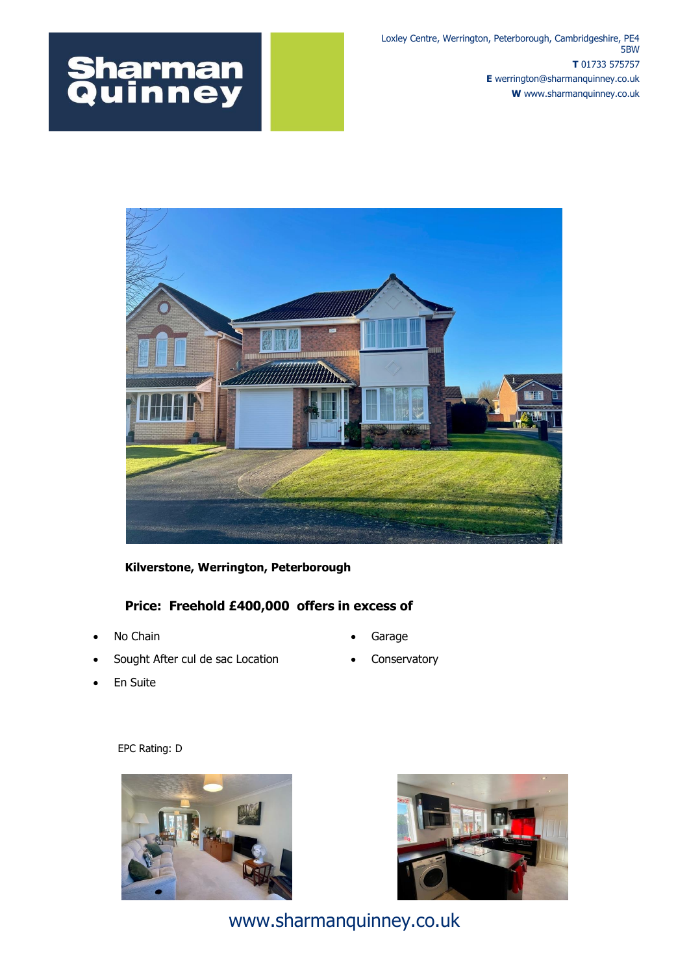## **Sharman<br>Quinney**

Loxley Centre, Werrington, Peterborough, Cambridgeshire, PE4 5BW **T** 01733 575757 **E** werrington@sharmanquinney.co.uk **W** www.sharmanquinney.co.uk



## **Kilverstone, Werrington, Peterborough**

## **Price: Freehold £400,000 offers in excess of**

- No Chain
- Sought After cul de sac Location
- Garage
- **Conservatory**

En Suite

EPC Rating: D





www.sharmanquinney.co.uk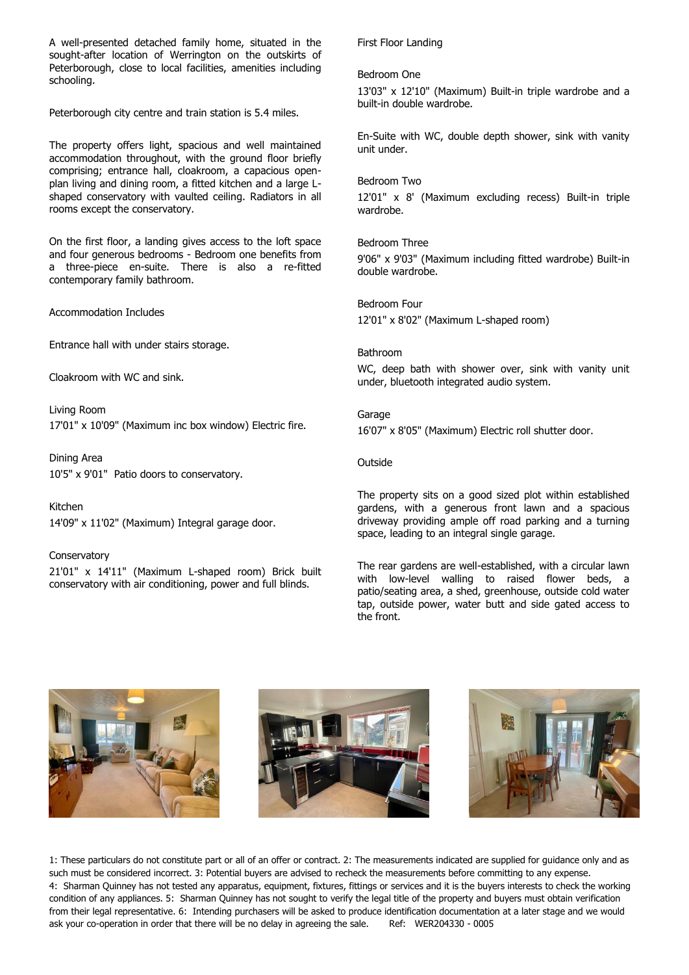A well-presented detached family home, situated in the sought-after location of Werrington on the outskirts of Peterborough, close to local facilities, amenities including schooling.

Peterborough city centre and train station is 5.4 miles.

The property offers light, spacious and well maintained accommodation throughout, with the ground floor briefly comprising; entrance hall, cloakroom, a capacious openplan living and dining room, a fitted kitchen and a large Lshaped conservatory with vaulted ceiling. Radiators in all rooms except the conservatory.

On the first floor, a landing gives access to the loft space and four generous bedrooms - Bedroom one benefits from a three-piece en-suite. There is also a re-fitted contemporary family bathroom.

Accommodation Includes

Entrance hall with under stairs storage.

Cloakroom with WC and sink.

Living Room 17'01" x 10'09" (Maximum inc box window) Electric fire.

Dining Area 10'5" x 9'01" Patio doors to conservatory.

Kitchen 14'09" x 11'02" (Maximum) Integral garage door.

**Conservatory** 21'01" x 14'11" (Maximum L-shaped room) Brick built conservatory with air conditioning, power and full blinds.

First Floor Landing

Bedroom One

13'03" x 12'10" (Maximum) Built-in triple wardrobe and a built-in double wardrobe.

En-Suite with WC, double depth shower, sink with vanity unit under.

Bedroom Two

12'01" x 8' (Maximum excluding recess) Built-in triple wardrobe.

Bedroom Three 9'06" x 9'03" (Maximum including fitted wardrobe) Built-in double wardrobe.

Bedroom Four 12'01" x 8'02" (Maximum L-shaped room)

Bathroom WC, deep bath with shower over, sink with vanity unit under, bluetooth integrated audio system.

Garage 16'07" x 8'05" (Maximum) Electric roll shutter door.

Outside

The property sits on a good sized plot within established gardens, with a generous front lawn and a spacious driveway providing ample off road parking and a turning space, leading to an integral single garage.

The rear gardens are well-established, with a circular lawn with low-level walling to raised flower beds, a patio/seating area, a shed, greenhouse, outside cold water tap, outside power, water butt and side gated access to the front.







1: These particulars do not constitute part or all of an offer or contract. 2: The measurements indicated are supplied for guidance only and as such must be considered incorrect. 3: Potential buyers are advised to recheck the measurements before committing to any expense. 4: Sharman Quinney has not tested any apparatus, equipment, fixtures, fittings or services and it is the buyers interests to check the working condition of any appliances. 5: Sharman Quinney has not sought to verify the legal title of the property and buyers must obtain verification from their legal representative. 6: Intending purchasers will be asked to produce identification documentation at a later stage and we would ask your co-operation in order that there will be no delay in agreeing the sale. Ref: WER204330 - 0005